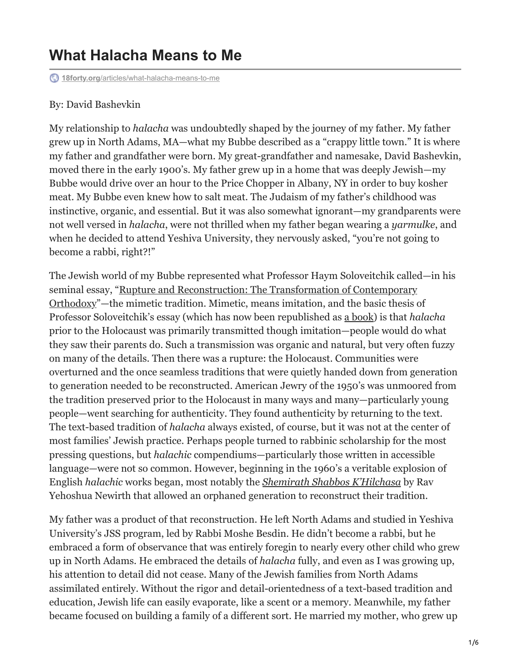# **What Halacha Means to Me**

**18forty.org**[/articles/what-halacha-means-to-me](https://18forty.org/articles/what-halacha-means-to-me/)

#### By: David Bashevkin

My relationship to *halacha* was undoubtedly shaped by the journey of my father. My father grew up in North Adams, MA—what my Bubbe described as a "crappy little town." It is where my father and grandfather were born. My great-grandfather and namesake, David Bashevkin, moved there in the early 1900's. My father grew up in a home that was deeply Jewish—my Bubbe would drive over an hour to the Price Chopper in Albany, NY in order to buy kosher meat. My Bubbe even knew how to salt meat. The Judaism of my father's childhood was instinctive, organic, and essential. But it was also somewhat ignorant—my grandparents were not well versed in *halacha*, were not thrilled when my father began wearing a *yarmulke*, and when he decided to attend Yeshiva University, they nervously asked, "you're not going to become a rabbi, right?!"

The Jewish world of my Bubbe represented what Professor Haym Soloveitchik called—in his seminal essay, "Rupture and Reconstruction: The Transformation of Contemporary [Orthodoxy"—the mimetic tradition. Mimetic, means imitation, and the basic thesis o](https://traditiononline.org/rupture-and-reconstruction-the-transformation-of-contemporary-orthodoxy/)f Professor Soloveitchik's essay (which has now been republished as [a book\)](https://www.amazon.com/Rupture-Reconstruction-Transformation-Modern-Orthodoxy/dp/1906764387) is that *halacha* prior to the Holocaust was primarily transmitted though imitation—people would do what they saw their parents do. Such a transmission was organic and natural, but very often fuzzy on many of the details. Then there was a rupture: the Holocaust. Communities were overturned and the once seamless traditions that were quietly handed down from generation to generation needed to be reconstructed. American Jewry of the 1950's was unmoored from the tradition preserved prior to the Holocaust in many ways and many—particularly young people—went searching for authenticity. They found authenticity by returning to the text. The text-based tradition of *halacha* always existed, of course, but it was not at the center of most families' Jewish practice. Perhaps people turned to rabbinic scholarship for the most pressing questions, but *halachic* compendiums—particularly those written in accessible language—were not so common. However, beginning in the 1960's a veritable explosion of English *halachic* works began, most notably the *[Shemirath Shabbos K'Hilchasa](https://www.academia.edu/44538306/David_Bashevkin_Shemirat_Shabbat_Kilchata_The_New_Jewish_Canon_eds_Yehuda_Kurtzer_and_Claire_E_Sufrin_Boston_Academic_Studies_Press_2020_)* by Rav Yehoshua Newirth that allowed an orphaned generation to reconstruct their tradition.

My father was a product of that reconstruction. He left North Adams and studied in Yeshiva University's JSS program, led by Rabbi Moshe Besdin. He didn't become a rabbi, but he embraced a form of observance that was entirely foregin to nearly every other child who grew up in North Adams. He embraced the details of *halacha* fully, and even as I was growing up, his attention to detail did not cease. Many of the Jewish families from North Adams assimilated entirely. Without the rigor and detail-orientedness of a text-based tradition and education, Jewish life can easily evaporate, like a scent or a memory. Meanwhile, my father became focused on building a family of a different sort. He married my mother, who grew up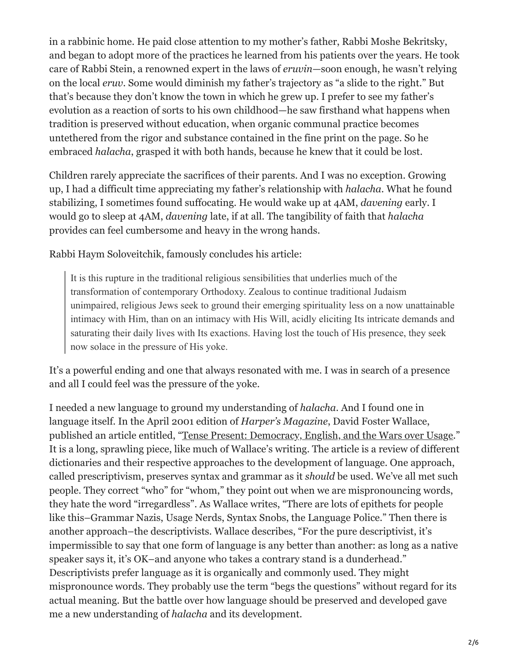in a rabbinic home. He paid close attention to my mother's father, Rabbi Moshe Bekritsky, and began to adopt more of the practices he learned from his patients over the years. He took care of Rabbi Stein, a renowned expert in the laws of *eruvin*—soon enough, he wasn't relying on the local *eruv*. Some would diminish my father's trajectory as "a slide to the right." But that's because they don't know the town in which he grew up. I prefer to see my father's evolution as a reaction of sorts to his own childhood—he saw firsthand what happens when tradition is preserved without education, when organic communal practice becomes untethered from the rigor and substance contained in the fine print on the page. So he embraced *halacha*, grasped it with both hands, because he knew that it could be lost.

Children rarely appreciate the sacrifices of their parents. And I was no exception. Growing up, I had a difficult time appreciating my father's relationship with *halacha*. What he found stabilizing, I sometimes found suffocating. He would wake up at 4AM, *davening* early. I would go to sleep at 4AM, *davening* late, if at all. The tangibility of faith that *halacha* provides can feel cumbersome and heavy in the wrong hands.

Rabbi Haym Soloveitchik, famously concludes his article:

It is this rupture in the traditional religious sensibilities that underlies much of the transformation of contemporary Orthodoxy. Zealous to continue traditional Judaism unimpaired, religious Jews seek to ground their emerging spirituality less on a now unattainable intimacy with Him, than on an intimacy with His Will, acidly eliciting Its intricate demands and saturating their daily lives with Its exactions. Having lost the touch of His presence, they seek now solace in the pressure of His yoke.

It's a powerful ending and one that always resonated with me. I was in search of a presence and all I could feel was the pressure of the yoke.

I needed a new language to ground my understanding of *halacha*. And I found one in language itself. In the April 2001 edition of *Harper's Magazine*, David Foster Wallace, published an article entitled, ["Tense Present: Democracy, English, and the Wars over Usage](https://harpers.org/wp-content/uploads/HarpersMagazine-2001-04-0070913.pdf)." It is a long, sprawling piece, like much of Wallace's writing. The article is a review of different dictionaries and their respective approaches to the development of language. One approach, called prescriptivism, preserves syntax and grammar as it *should* be used. We've all met such people. They correct "who" for "whom," they point out when we are mispronouncing words, they hate the word "irregardless". As Wallace writes, "There are lots of epithets for people like this–Grammar Nazis, Usage Nerds, Syntax Snobs, the Language Police." Then there is another approach–the descriptivists. Wallace describes, "For the pure descriptivist, it's impermissible to say that one form of language is any better than another: as long as a native speaker says it, it's OK–and anyone who takes a contrary stand is a dunderhead." Descriptivists prefer language as it is organically and commonly used. They might mispronounce words. They probably use the term "begs the questions" without regard for its actual meaning. But the battle over how language should be preserved and developed gave me a new understanding of *halacha* and its development.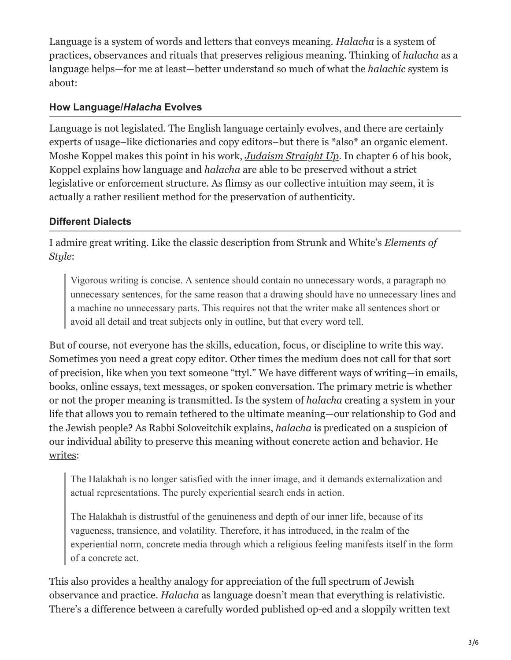Language is a system of words and letters that conveys meaning. *Halacha* is a system of practices, observances and rituals that preserves religious meaning. Thinking of *halacha* as a language helps—for me at least—better understand so much of what the *halachic* system is about:

## **How Language/***Halacha* **Evolves**

Language is not legislated. The English language certainly evolves, and there are certainly experts of usage–like dictionaries and copy editors–but there is \*also\* an organic element. Moshe Koppel makes this point in his work, *[Judaism Straight Up](https://korenpub.com/products/judaism-straight-up)*. In chapter 6 of his book, Koppel explains how language and *halacha* are able to be preserved without a strict legislative or enforcement structure. As flimsy as our collective intuition may seem, it is actually a rather resilient method for the preservation of authenticity.

## **Different Dialects**

I admire great writing. Like the classic description from Strunk and White's *Elements of Style*:

Vigorous writing is concise. A sentence should contain no unnecessary words, a paragraph no unnecessary sentences, for the same reason that a drawing should have no unnecessary lines and a machine no unnecessary parts. This requires not that the writer make all sentences short or avoid all detail and treat subjects only in outline, but that every word tell.

But of course, not everyone has the skills, education, focus, or discipline to write this way. Sometimes you need a great copy editor. Other times the medium does not call for that sort of precision, like when you text someone "ttyl." We have different ways of writing—in emails, books, online essays, text messages, or spoken conversation. The primary metric is whether or not the proper meaning is transmitted. Is the system of *halacha* creating a system in your life that allows you to remain tethered to the ultimate meaning—our relationship to God and the Jewish people? As Rabbi Soloveitchik explains, *halacha* is predicated on a suspicion of our individual ability to preserve this meaning without concrete action and behavior. He [writes:](https://jewishaction.com/the-rav/towards-philosophy-halachah/)

The Halakhah is no longer satisfied with the inner image, and it demands externalization and actual representations. The purely experiential search ends in action.

The Halakhah is distrustful of the genuineness and depth of our inner life, because of its vagueness, transience, and volatility. Therefore, it has introduced, in the realm of the experiential norm, concrete media through which a religious feeling manifests itself in the form of a concrete act.

This also provides a healthy analogy for appreciation of the full spectrum of Jewish observance and practice. *Halacha* as language doesn't mean that everything is relativistic. There's a difference between a carefully worded published op-ed and a sloppily written text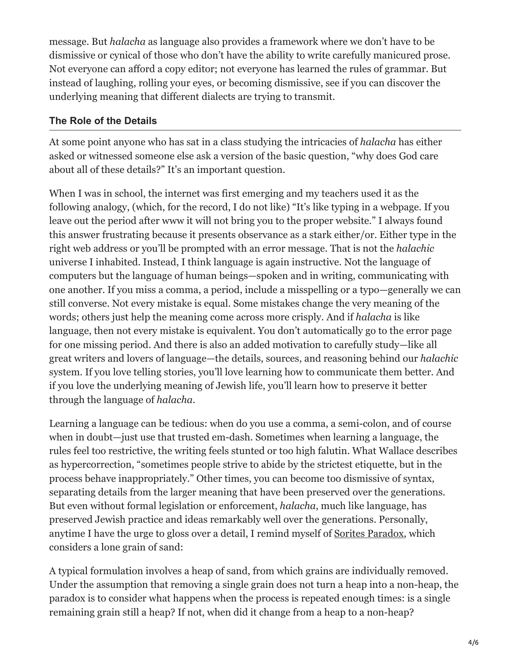message. But *halacha* as language also provides a framework where we don't have to be dismissive or cynical of those who don't have the ability to write carefully manicured prose. Not everyone can afford a copy editor; not everyone has learned the rules of grammar. But instead of laughing, rolling your eyes, or becoming dismissive, see if you can discover the underlying meaning that different dialects are trying to transmit.

### **The Role of the Details**

At some point anyone who has sat in a class studying the intricacies of *halacha* has either asked or witnessed someone else ask a version of the basic question, "why does God care about all of these details?" It's an important question.

When I was in school, the internet was first emerging and my teachers used it as the following analogy, (which, for the record, I do not like) "It's like typing in a webpage. If you leave out the period after www it will not bring you to the proper website." I always found this answer frustrating because it presents observance as a stark either/or. Either type in the right web address or you'll be prompted with an error message. That is not the *halachic* universe I inhabited. Instead, I think language is again instructive. Not the language of computers but the language of human beings—spoken and in writing, communicating with one another. If you miss a comma, a period, include a misspelling or a typo—generally we can still converse. Not every mistake is equal. Some mistakes change the very meaning of the words; others just help the meaning come across more crisply. And if *halacha* is like language, then not every mistake is equivalent. You don't automatically go to the error page for one missing period. And there is also an added motivation to carefully study—like all great writers and lovers of language—the details, sources, and reasoning behind our *halachic* system. If you love telling stories, you'll love learning how to communicate them better. And if you love the underlying meaning of Jewish life, you'll learn how to preserve it better through the language of *halacha*.

Learning a language can be tedious: when do you use a comma, a semi-colon, and of course when in doubt—just use that trusted em-dash. Sometimes when learning a language, the rules feel too restrictive, the writing feels stunted or too high falutin. What Wallace describes as hypercorrection, "sometimes people strive to abide by the strictest etiquette, but in the process behave inappropriately." Other times, you can become too dismissive of syntax, separating details from the larger meaning that have been preserved over the generations. But even without formal legislation or enforcement, *halacha*, much like language, has preserved Jewish practice and ideas remarkably well over the generations. Personally, anytime I have the urge to gloss over a detail, I remind myself of [Sorites Paradox,](https://en.wikipedia.org/wiki/Sorites_paradox) which considers a lone grain of sand:

A typical formulation involves a heap of sand, from which grains are individually removed. Under the assumption that removing a single grain does not turn a heap into a non-heap, the paradox is to consider what happens when the process is repeated enough times: is a single remaining grain still a heap? If not, when did it change from a heap to a non-heap?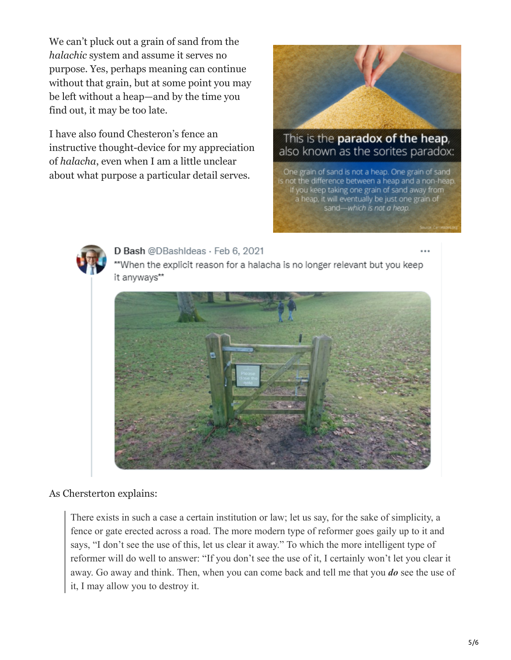We can't pluck out a grain of sand from the *halachic* system and assume it serves no purpose. Yes, perhaps meaning can continue without that grain, but at some point you may be left without a heap—and by the time you find out, it may be too late.

I have also found Chesteron's fence an instructive thought-device for my appreciation of *halacha*, even when I am a little unclear about what purpose a particular detail serves.



## This is the paradox of the heap, also known as the sorites paradox:

One grain of sand is not a heap. One grain of sand is not the difference between a heap and a non-heap. If you keep taking one grain of sand away from a heap, it will eventually be just one grain of sand-which is not a heap.



#### D Bash @DBashIdeas · Feb 6, 2021



\*\*When the explicit reason for a halacha is no longer relevant but you keep

#### As Chersterton explains:

There exists in such a case a certain institution or law; let us say, for the sake of simplicity, a fence or gate erected across a road. The more modern type of reformer goes gaily up to it and says, "I don't see the use of this, let us clear it away." To which the more intelligent type of reformer will do well to answer: "If you don't see the use of it, I certainly won't let you clear it away. Go away and think. Then, when you can come back and tell me that you *do* see the use of it, I may allow you to destroy it.